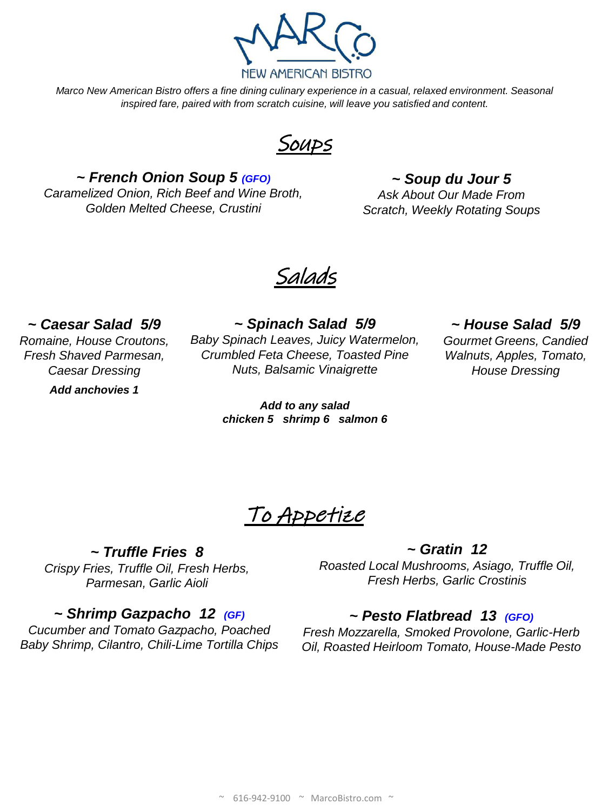

*Marco New American Bistro offers a fine dining culinary experience in a casual, relaxed environment. Seasonal inspired fare, paired with from scratch cuisine, will leave you satisfied and content.* 

**SOUPS** 

*~ French Onion Soup 5 (GFO) Caramelized Onion, Rich Beef and Wine Broth, Golden Melted Cheese, Crustini*

*~ Soup du Jour 5*

*Ask About Our Made From Scratch, Weekly Rotating Soups*

Salads

*~ Caesar Salad 5/9* 

*Romaine, House Croutons, Fresh Shaved Parmesan, Caesar Dressing*

*Add anchovies 1*

*~ Spinach Salad 5/9 Baby Spinach Leaves, Juicy Watermelon, Crumbled Feta Cheese, Toasted Pine Nuts, Balsamic Vinaigrette*

> *Add to any salad chicken 5 shrimp 6 salmon 6*

### *~ House Salad 5/9*

*Gourmet Greens, Candied Walnuts, Apples, Tomato, House Dressing*

To Appetize

*~ Truffle Fries 8 Crispy Fries, Truffle Oil, Fresh Herbs, Parmesan, Garlic Aioli*

*~ Shrimp Gazpacho 12 (GF)*

*Cucumber and Tomato Gazpacho, Poached Baby Shrimp, Cilantro, Chili-Lime Tortilla Chips*

*~ Gratin 12 Roasted Local Mushrooms, Asiago, Truffle Oil, Fresh Herbs, Garlic Crostinis*

# *~ Pesto Flatbread 13 (GFO)*

*Fresh Mozzarella, Smoked Provolone, Garlic-Herb Oil, Roasted Heirloom Tomato, House-Made Pesto*